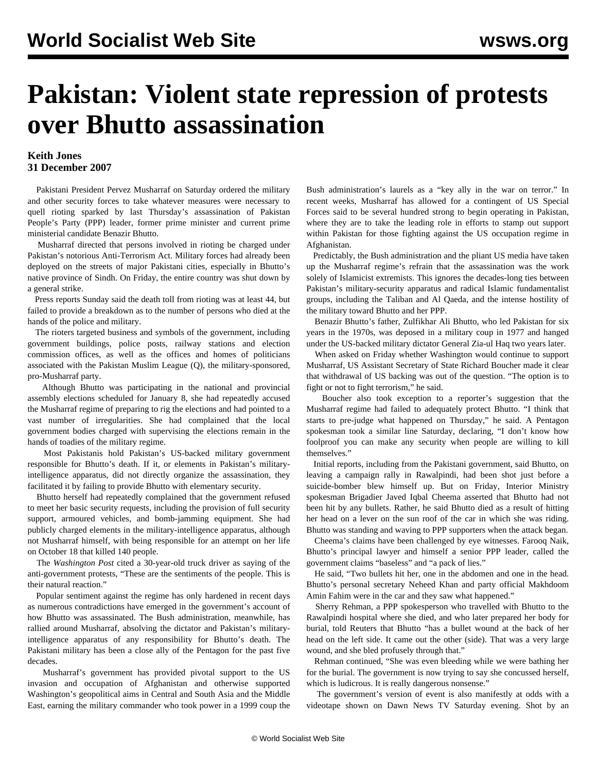## **Pakistan: Violent state repression of protests over Bhutto assassination**

## **Keith Jones 31 December 2007**

 Pakistani President Pervez Musharraf on Saturday ordered the military and other security forces to take whatever measures were necessary to quell rioting sparked by last Thursday's assassination of Pakistan People's Party (PPP) leader, former prime minister and current prime ministerial candidate Benazir Bhutto.

 Musharraf directed that persons involved in rioting be charged under Pakistan's notorious Anti-Terrorism Act. Military forces had already been deployed on the streets of major Pakistani cities, especially in Bhutto's native province of Sindh. On Friday, the entire country was shut down by a general strike.

 Press reports Sunday said the death toll from rioting was at least 44, but failed to provide a breakdown as to the number of persons who died at the hands of the police and military.

 The rioters targeted business and symbols of the government, including government buildings, police posts, railway stations and election commission offices, as well as the offices and homes of politicians associated with the Pakistan Muslim League (Q), the military-sponsored, pro-Musharraf party.

 Although Bhutto was participating in the national and provincial assembly elections scheduled for January 8, she had repeatedly accused the Musharraf regime of preparing to rig the elections and had pointed to a vast number of irregularities. She had complained that the local government bodies charged with supervising the elections remain in the hands of toadies of the military regime.

 Most Pakistanis hold Pakistan's US-backed military government responsible for Bhutto's death. If it, or elements in Pakistan's militaryintelligence apparatus, did not directly organize the assassination, they facilitated it by failing to provide Bhutto with elementary security.

 Bhutto herself had repeatedly complained that the government refused to meet her basic security requests, including the provision of full security support, armoured vehicles, and bomb-jamming equipment. She had publicly charged elements in the military-intelligence apparatus, although not Musharraf himself, with being responsible for an attempt on her life on October 18 that killed 140 people.

 The *Washington Post* cited a 30-year-old truck driver as saying of the anti-government protests, "These are the sentiments of the people. This is their natural reaction."

 Popular sentiment against the regime has only hardened in recent days as numerous contradictions have emerged in the government's account of how Bhutto was assassinated. The Bush administration, meanwhile, has rallied around Musharraf, absolving the dictator and Pakistan's militaryintelligence apparatus of any responsibility for Bhutto's death. The Pakistani military has been a close ally of the Pentagon for the past five decades.

 Musharraf's government has provided pivotal support to the US invasion and occupation of Afghanistan and otherwise supported Washington's geopolitical aims in Central and South Asia and the Middle East, earning the military commander who took power in a 1999 coup the Bush administration's laurels as a "key ally in the war on terror." In recent weeks, Musharraf has allowed for a contingent of US Special Forces said to be several hundred strong to begin operating in Pakistan, where they are to take the leading role in efforts to stamp out support within Pakistan for those fighting against the US occupation regime in Afghanistan.

 Predictably, the Bush administration and the pliant US media have taken up the Musharraf regime's refrain that the assassination was the work solely of Islamicist extremists. This ignores the decades-long ties between Pakistan's military-security apparatus and radical Islamic fundamentalist groups, including the Taliban and Al Qaeda, and the intense hostility of the military toward Bhutto and her PPP.

 Benazir Bhutto's father, Zulfikhar Ali Bhutto, who led Pakistan for six years in the 1970s, was deposed in a military coup in 1977 and hanged under the US-backed military dictator General Zia-ul Haq two years later.

 When asked on Friday whether Washington would continue to support Musharraf, US Assistant Secretary of State Richard Boucher made it clear that withdrawal of US backing was out of the question. "The option is to fight or not to fight terrorism," he said.

 Boucher also took exception to a reporter's suggestion that the Musharraf regime had failed to adequately protect Bhutto. "I think that starts to pre-judge what happened on Thursday," he said. A Pentagon spokesman took a similar line Saturday, declaring, "I don't know how foolproof you can make any security when people are willing to kill themselves."

 Initial reports, including from the Pakistani government, said Bhutto, on leaving a campaign rally in Rawalpindi, had been shot just before a suicide-bomber blew himself up. But on Friday, Interior Ministry spokesman Brigadier Javed Iqbal Cheema asserted that Bhutto had not been hit by any bullets. Rather, he said Bhutto died as a result of hitting her head on a lever on the sun roof of the car in which she was riding. Bhutto was standing and waving to PPP supporters when the attack began.

 Cheema's claims have been challenged by eye witnesses. Farooq Naik, Bhutto's principal lawyer and himself a senior PPP leader, called the government claims "baseless" and "a pack of lies."

 He said, "Two bullets hit her, one in the abdomen and one in the head. Bhutto's personal secretary Neheed Khan and party official Makhdoom Amin Fahim were in the car and they saw what happened."

 Sherry Rehman, a PPP spokesperson who travelled with Bhutto to the Rawalpindi hospital where she died, and who later prepared her body for burial, told Reuters that Bhutto "has a bullet wound at the back of her head on the left side. It came out the other (side). That was a very large wound, and she bled profusely through that."

 Rehman continued, "She was even bleeding while we were bathing her for the burial. The government is now trying to say she concussed herself, which is ludicrous. It is really dangerous nonsense."

 The government's version of event is also manifestly at odds with a videotape shown on Dawn News TV Saturday evening. Shot by an